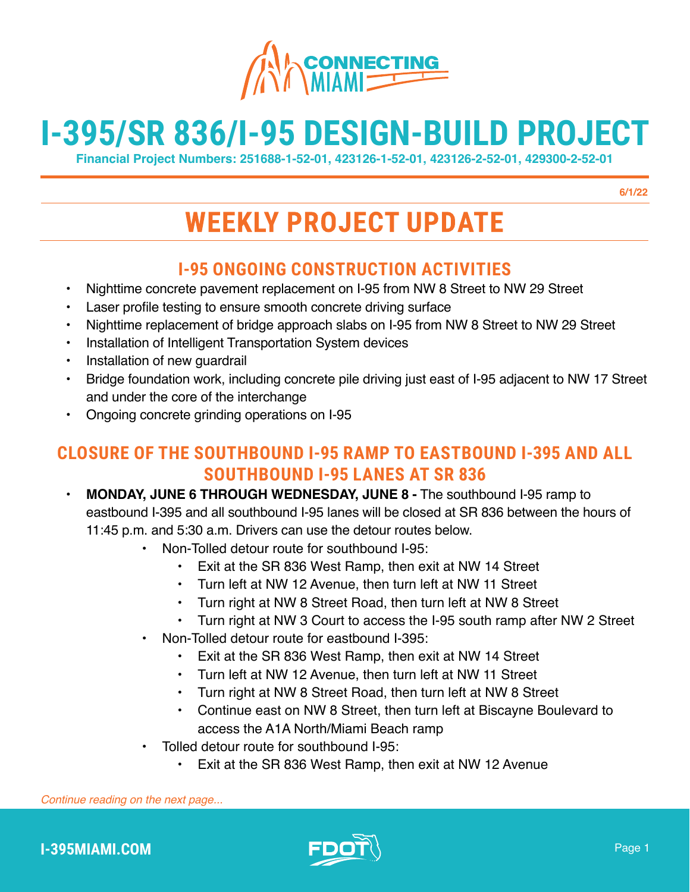

# **I-395/SR 836/I-95 DESIGN-BUILD PROJECT**

**Financial Project Numbers: 251688-1-52-01, 423126-1-52-01, 423126-2-52-01, 429300-2-52-01**

**6/1/22**

## **WEEKLY PROJECT UPDATE**

## **I-95 ONGOING CONSTRUCTION ACTIVITIES**

- Nighttime concrete pavement replacement on I-95 from NW 8 Street to NW 29 Street
- Laser profile testing to ensure smooth concrete driving surface
- Nighttime replacement of bridge approach slabs on I-95 from NW 8 Street to NW 29 Street
- Installation of Intelligent Transportation System devices
- Installation of new guardrail
- Bridge foundation work, including concrete pile driving just east of I-95 adjacent to NW 17 Street and under the core of the interchange
- Ongoing concrete grinding operations on I-95

## **CLOSURE OF THE SOUTHBOUND I-95 RAMP TO EASTBOUND I-395 AND ALL SOUTHBOUND I-95 LANES AT SR 836**

- **MONDAY, JUNE 6 THROUGH WEDNESDAY, JUNE 8 -** The southbound I-95 ramp to eastbound I-395 and all southbound I-95 lanes will be closed at SR 836 between the hours of 11:45 p.m. and 5:30 a.m. Drivers can use the detour routes below.
	- Non-Tolled detour route for southbound I-95:
		- Exit at the SR 836 West Ramp, then exit at NW 14 Street
		- Turn left at NW 12 Avenue, then turn left at NW 11 Street
		- Turn right at NW 8 Street Road, then turn left at NW 8 Street
		- Turn right at NW 3 Court to access the I-95 south ramp after NW 2 Street
	- Non-Tolled detour route for eastbound I-395:
		- Exit at the SR 836 West Ramp, then exit at NW 14 Street
		- Turn left at NW 12 Avenue, then turn left at NW 11 Street
		- Turn right at NW 8 Street Road, then turn left at NW 8 Street
		- Continue east on NW 8 Street, then turn left at Biscayne Boulevard to access the A1A North/Miami Beach ramp
	- Tolled detour route for southbound I-95:
		- Exit at the SR 836 West Ramp, then exit at NW 12 Avenue



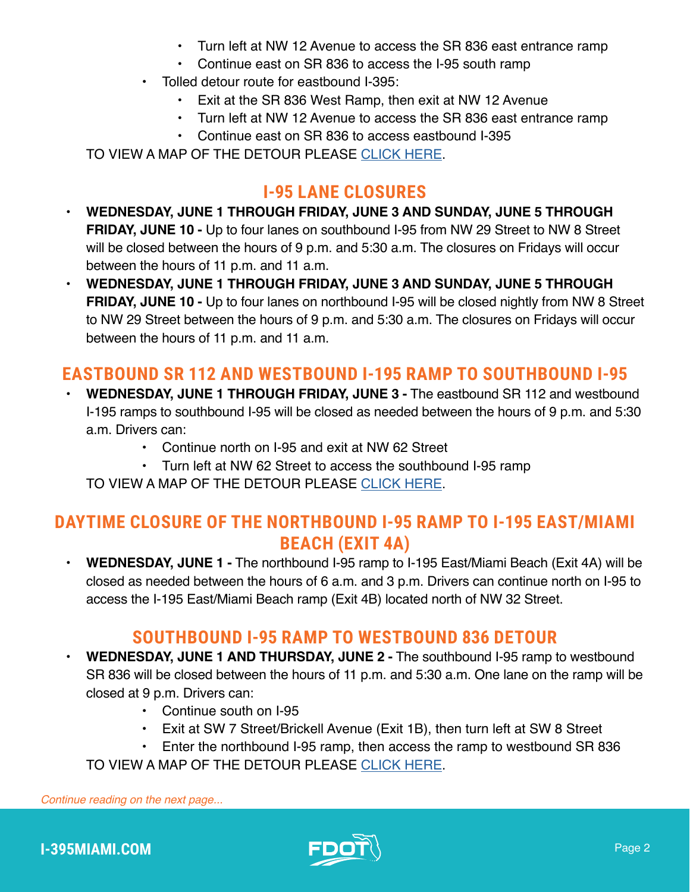- Turn left at NW 12 Avenue to access the SR 836 east entrance ramp
- Continue east on SR 836 to access the I-95 south ramp
- Tolled detour route for eastbound I-395:
	- Exit at the SR 836 West Ramp, then exit at NW 12 Avenue
	- Turn left at NW 12 Avenue to access the SR 836 east entrance ramp
	- Continue east on SR 836 to access eastbound I-395

TO VIEW A MAP OF THE DETOUR PLEASE [CLICK HERE](https://i395-miami.com/alerts/details/Alert-395-95Full-Map.pdf).

## **I-95 LANE CLOSURES**

- **WEDNESDAY, JUNE 1 THROUGH FRIDAY, JUNE 3 AND SUNDAY, JUNE 5 THROUGH FRIDAY, JUNE 10 -** Up to four lanes on southbound I-95 from NW 29 Street to NW 8 Street will be closed between the hours of 9 p.m. and 5:30 a.m. The closures on Fridays will occur between the hours of 11 p.m. and 11 a.m.
- **WEDNESDAY, JUNE 1 THROUGH FRIDAY, JUNE 3 AND SUNDAY, JUNE 5 THROUGH FRIDAY, JUNE 10 -** Up to four lanes on northbound I-95 will be closed nightly from NW 8 Street to NW 29 Street between the hours of 9 p.m. and 5:30 a.m. The closures on Fridays will occur between the hours of 11 p.m. and 11 a.m.

## **EASTBOUND SR 112 AND WESTBOUND I-195 RAMP TO SOUTHBOUND I-95**

- **WEDNESDAY, JUNE 1 THROUGH FRIDAY, JUNE 3 -** The eastbound SR 112 and westbound I-195 ramps to southbound I-95 will be closed as needed between the hours of 9 p.m. and 5:30 a.m. Drivers can:
	- Continue north on I-95 and exit at NW 62 Street
	- Turn left at NW 62 Street to access the southbound I-95 ramp

TO VIEW A MAP OF THE DETOUR PLEASE [CLICK HERE](https://i395-miami.com/alerts/details/Alert-395-WB195EB95-Map.pdf).

## **DAYTIME CLOSURE OF THE NORTHBOUND I-95 RAMP TO I-195 EAST/MIAMI BEACH (EXIT 4A)**

• **WEDNESDAY, JUNE 1 -** The northbound I-95 ramp to I-195 East/Miami Beach (Exit 4A) will be closed as needed between the hours of 6 a.m. and 3 p.m. Drivers can continue north on I-95 to access the I-195 East/Miami Beach ramp (Exit 4B) located north of NW 32 Street.

## **SOUTHBOUND I-95 RAMP TO WESTBOUND 836 DETOUR**

- **WEDNESDAY, JUNE 1 AND THURSDAY, JUNE 2 -** The southbound I-95 ramp to westbound SR 836 will be closed between the hours of 11 p.m. and 5:30 a.m. One lane on the ramp will be closed at 9 p.m. Drivers can:
	- Continue south on I-95
	- Exit at SW 7 Street/Brickell Avenue (Exit 1B), then turn left at SW 8 Street
	- Enter the northbound I-95 ramp, then access the ramp to westbound SR 836

TO VIEW A MAP OF THE DETOUR PLEASE [CLICK HERE](https://www.i395-miami.com/alerts/details/Alert-395-SB95WB836_Map.pdf).

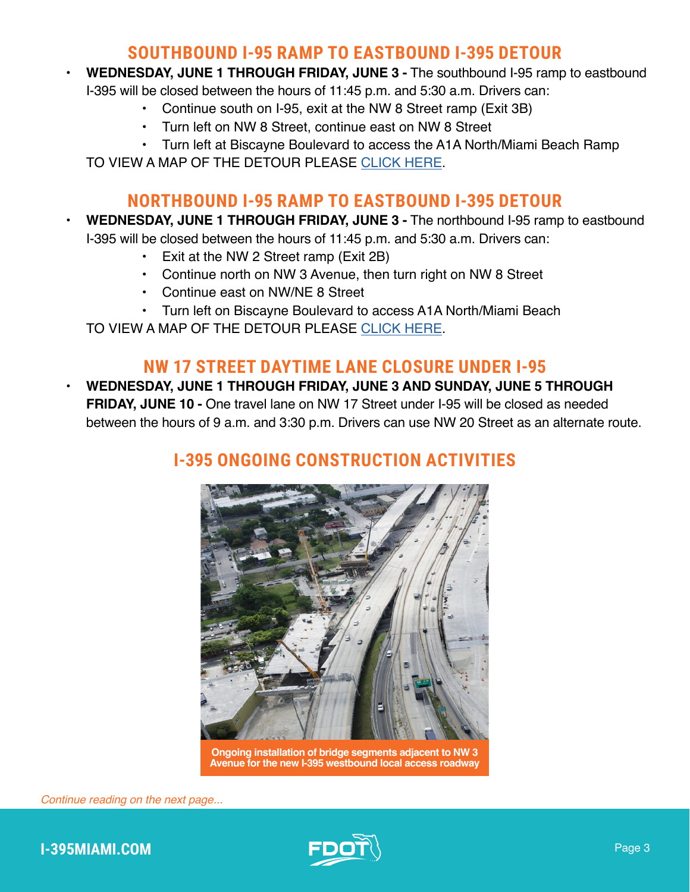#### **SOUTHBOUND I-95 RAMP TO EASTBOUND I-395 DETOUR**

- **WEDNESDAY, JUNE 1 THROUGH FRIDAY, JUNE 3 -** The southbound I-95 ramp to eastbound
	- I-395 will be closed between the hours of 11:45 p.m. and 5:30 a.m. Drivers can:
		- Continue south on I-95, exit at the NW 8 Street ramp (Exit 3B)
		- Turn left on NW 8 Street, continue east on NW 8 Street
		- Turn left at Biscayne Boulevard to access the A1A North/Miami Beach Ramp

TO VIEW A MAP OF THE DETOUR PLEASE [CLICK HERE](https://www.i395-miami.com/alerts/details/Alert-395-95SB-06122019.pdf).

#### **NORTHBOUND I-95 RAMP TO EASTBOUND I-395 DETOUR**

- **WEDNESDAY, JUNE 1 THROUGH FRIDAY, JUNE 3 -** The northbound I-95 ramp to eastbound
	- I-395 will be closed between the hours of 11:45 p.m. and 5:30 a.m. Drivers can:
		- Exit at the NW 2 Street ramp (Exit 2B)
		- Continue north on NW 3 Avenue, then turn right on NW 8 Street
		- Continue east on NW/NE 8 Street
		- Turn left on Biscayne Boulevard to access A1A North/Miami Beach

TO VIEW A MAP OF THE DETOUR PLEASE [CLICK HERE](https://www.i395-miami.com/alerts/details/Alert-395-95NB-06142019.pdf).

#### **NW 17 STREET DAYTIME LANE CLOSURE UNDER I-95**

• **WEDNESDAY, JUNE 1 THROUGH FRIDAY, JUNE 3 AND SUNDAY, JUNE 5 THROUGH FRIDAY, JUNE 10 -** One travel lane on NW 17 Street under I-95 will be closed as needed between the hours of 9 a.m. and 3:30 p.m. Drivers can use NW 20 Street as an alternate route.

## **I-395 ONGOING CONSTRUCTION ACTIVITIES**



**Ongoing installation of bridge segments adjacent to NW 3 Avenue for the new I-395 westbound local access roadway**



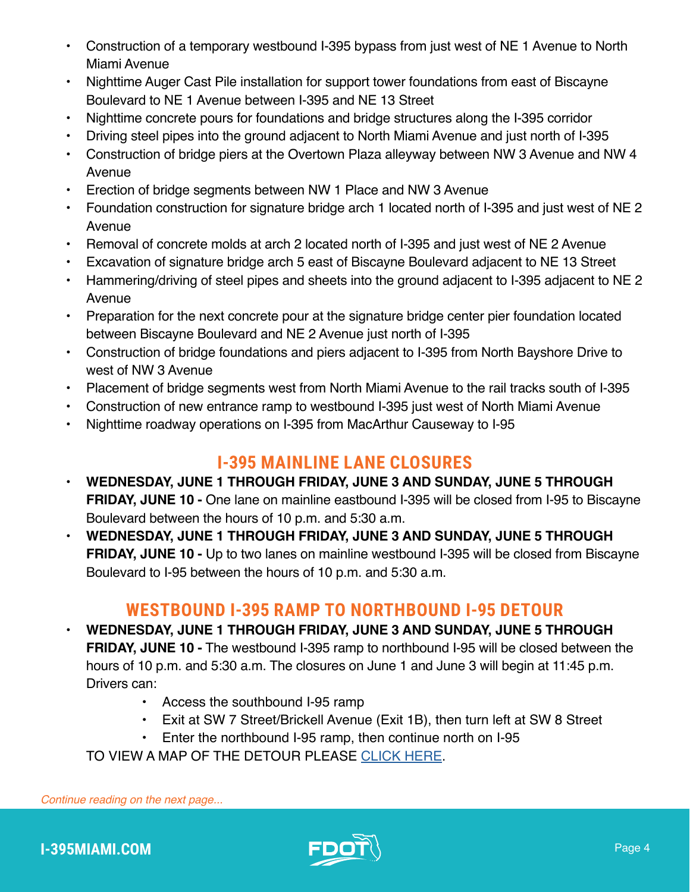- Construction of a temporary westbound I-395 bypass from just west of NE 1 Avenue to North Miami Avenue
- Nighttime Auger Cast Pile installation for support tower foundations from east of Biscayne Boulevard to NE 1 Avenue between I-395 and NE 13 Street
- Nighttime concrete pours for foundations and bridge structures along the I-395 corridor
- Driving steel pipes into the ground adjacent to North Miami Avenue and just north of I-395
- Construction of bridge piers at the Overtown Plaza alleyway between NW 3 Avenue and NW 4 Avenue
- Erection of bridge segments between NW 1 Place and NW 3 Avenue
- Foundation construction for signature bridge arch 1 located north of I-395 and just west of NE 2 Avenue
- Removal of concrete molds at arch 2 located north of I-395 and just west of NE 2 Avenue
- Excavation of signature bridge arch 5 east of Biscayne Boulevard adjacent to NE 13 Street
- Hammering/driving of steel pipes and sheets into the ground adjacent to I-395 adjacent to NE 2 Avenue
- Preparation for the next concrete pour at the signature bridge center pier foundation located between Biscayne Boulevard and NE 2 Avenue just north of I-395
- Construction of bridge foundations and piers adjacent to I-395 from North Bayshore Drive to west of NW 3 Avenue
- Placement of bridge segments west from North Miami Avenue to the rail tracks south of I-395
- Construction of new entrance ramp to westbound I-395 just west of North Miami Avenue
- Nighttime roadway operations on I-395 from MacArthur Causeway to I-95

#### **I-395 MAINLINE LANE CLOSURES**

- **WEDNESDAY, JUNE 1 THROUGH FRIDAY, JUNE 3 AND SUNDAY, JUNE 5 THROUGH FRIDAY, JUNE 10 -** One lane on mainline eastbound I-395 will be closed from I-95 to Biscayne Boulevard between the hours of 10 p.m. and 5:30 a.m.
- **WEDNESDAY, JUNE 1 THROUGH FRIDAY, JUNE 3 AND SUNDAY, JUNE 5 THROUGH FRIDAY, JUNE 10 -** Up to two lanes on mainline westbound I-395 will be closed from Biscayne Boulevard to I-95 between the hours of 10 p.m. and 5:30 a.m.

#### **WESTBOUND I-395 RAMP TO NORTHBOUND I-95 DETOUR**

- **WEDNESDAY, JUNE 1 THROUGH FRIDAY, JUNE 3 AND SUNDAY, JUNE 5 THROUGH FRIDAY, JUNE 10 -** The westbound I-395 ramp to northbound I-95 will be closed between the hours of 10 p.m. and 5:30 a.m. The closures on June 1 and June 3 will begin at 11:45 p.m. Drivers can:
	- Access the southbound I-95 ramp
	- Exit at SW 7 Street/Brickell Avenue (Exit 1B), then turn left at SW 8 Street
	- Enter the northbound I-95 ramp, then continue north on I-95
	- TO VIEW A MAP OF THE DETOUR PLEASE [CLICK HERE](https://i395-miami.com/alerts/details/Alert-395-WB395NB95-Map.pdf).

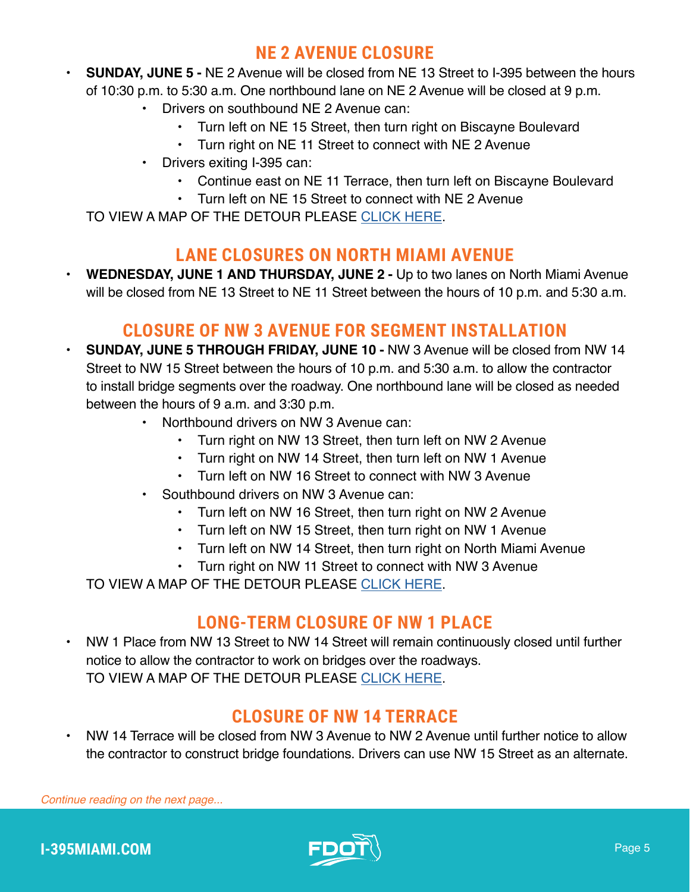#### **NE 2 AVENUE CLOSURE**

- **SUNDAY, JUNE 5 -** NE 2 Avenue will be closed from NE 13 Street to I-395 between the hours of 10:30 p.m. to 5:30 a.m. One northbound lane on NE 2 Avenue will be closed at 9 p.m.
	- Drivers on southbound NE 2 Avenue can:
		- Turn left on NE 15 Street, then turn right on Biscayne Boulevard
		- Turn right on NE 11 Street to connect with NE 2 Avenue
	- Drivers exiting I-395 can:
		- Continue east on NE 11 Terrace, then turn left on Biscayne Boulevard
		- Turn left on NE 15 Street to connect with NE 2 Avenue

TO VIEW A MAP OF THE DETOUR PLEASE [CLICK HERE](https://i395-miami.com/alerts/details/Alert-395-NE2-Map.pdf).

#### **LANE CLOSURES ON NORTH MIAMI AVENUE**

• **WEDNESDAY, JUNE 1 AND THURSDAY, JUNE 2 -** Up to two lanes on North Miami Avenue will be closed from NE 13 Street to NE 11 Street between the hours of 10 p.m. and 5:30 a.m.

#### **CLOSURE OF NW 3 AVENUE FOR SEGMENT INSTALLATION**

- **SUNDAY, JUNE 5 THROUGH FRIDAY, JUNE 10 -** NW 3 Avenue will be closed from NW 14 Street to NW 15 Street between the hours of 10 p.m. and 5:30 a.m. to allow the contractor to install bridge segments over the roadway. One northbound lane will be closed as needed between the hours of 9 a.m. and 3:30 p.m.
	- Northbound drivers on NW 3 Avenue can:
		- Turn right on NW 13 Street, then turn left on NW 2 Avenue
		- Turn right on NW 14 Street, then turn left on NW 1 Avenue
		- Turn left on NW 16 Street to connect with NW 3 Avenue
	- Southbound drivers on NW 3 Avenue can:
		- Turn left on NW 16 Street, then turn right on NW 2 Avenue
		- Turn left on NW 15 Street, then turn right on NW 1 Avenue
		- Turn left on NW 14 Street, then turn right on North Miami Avenue
		- Turn right on NW 11 Street to connect with NW 3 Avenue

TO VIEW A MAP OF THE DETOUR PLEASE [CLICK HERE](https://i395-miami.com/alerts/details/NW3AVE-NW14ST-CLOSURE.pdf).

## **LONG-TERM CLOSURE OF NW 1 PLACE**

• NW 1 Place from NW 13 Street to NW 14 Street will remain continuously closed until further notice to allow the contractor to work on bridges over the roadways. TO VIEW A MAP OF THE DETOUR PLEASE [CLICK HERE](https://www.i395-miami.com/alerts/details/NW1PLACE-SegDetour.pdf).

## **CLOSURE OF NW 14 TERRACE**

• NW 14 Terrace will be closed from NW 3 Avenue to NW 2 Avenue until further notice to allow the contractor to construct bridge foundations. Drivers can use NW 15 Street as an alternate.

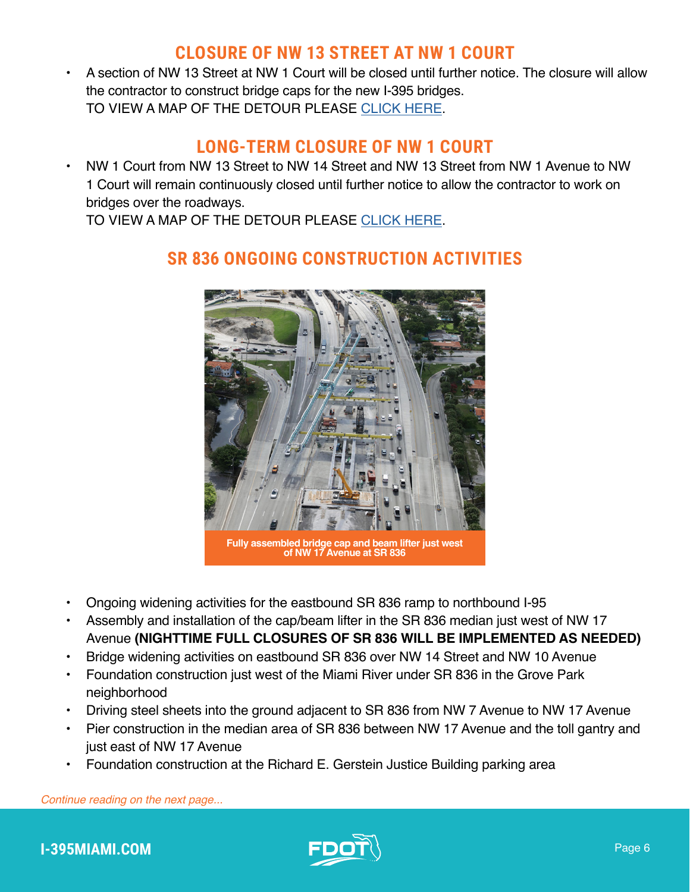#### **CLOSURE OF NW 13 STREET AT NW 1 COURT**

• A section of NW 13 Street at NW 1 Court will be closed until further notice. The closure will allow the contractor to construct bridge caps for the new I-395 bridges. TO VIEW A MAP OF THE DETOUR PLEASE [CLICK HERE](http://i395-miami.com/alerts/details/Alert-395-NW1CT13ST-Map.pdf).

#### **LONG-TERM CLOSURE OF NW 1 COURT**

• NW 1 Court from NW 13 Street to NW 14 Street and NW 13 Street from NW 1 Avenue to NW 1 Court will remain continuously closed until further notice to allow the contractor to work on bridges over the roadways.

TO VIEW A MAP OF THE DETOUR PLEASE [CLICK HERE](http://i395-miami.com/alerts/details/Alert-395-NW1CT13ST-Map.pdf
).



## **SR 836 ONGOING CONSTRUCTION ACTIVITIES**

**Fully assembled bridge cap and beam lifter just west of NW 17 Avenue at SR 836**

- Ongoing widening activities for the eastbound SR 836 ramp to northbound I-95
- Assembly and installation of the cap/beam lifter in the SR 836 median just west of NW 17 Avenue **(NIGHTTIME FULL CLOSURES OF SR 836 WILL BE IMPLEMENTED AS NEEDED)**
- Bridge widening activities on eastbound SR 836 over NW 14 Street and NW 10 Avenue
- Foundation construction just west of the Miami River under SR 836 in the Grove Park neighborhood
- Driving steel sheets into the ground adjacent to SR 836 from NW 7 Avenue to NW 17 Avenue
- Pier construction in the median area of SR 836 between NW 17 Avenue and the toll gantry and just east of NW 17 Avenue
- Foundation construction at the Richard E. Gerstein Justice Building parking area



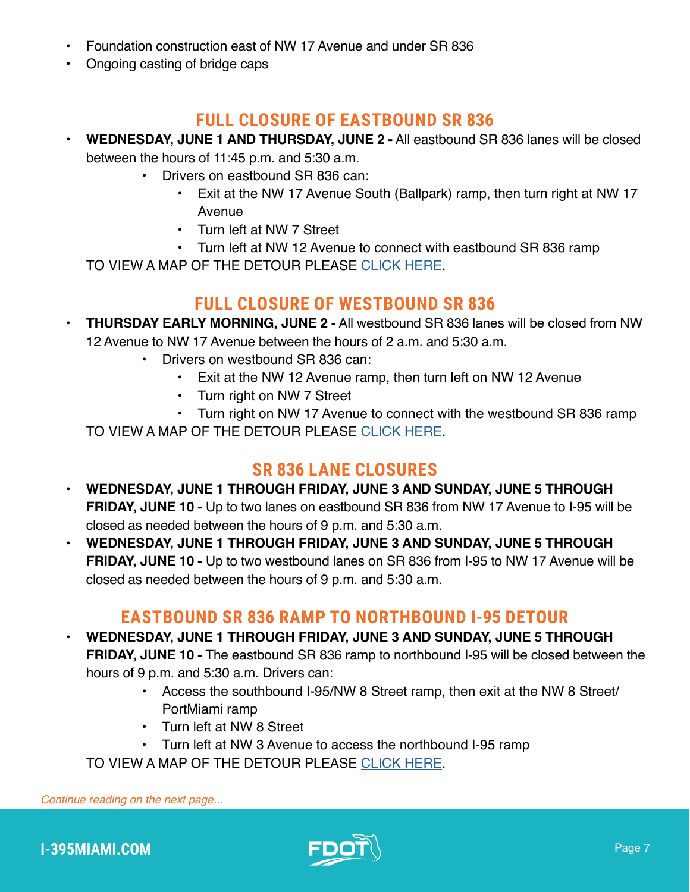- Foundation construction east of NW 17 Avenue and under SR 836
- Ongoing casting of bridge caps

#### **FULL CLOSURE OF EASTBOUND SR 836**

- **WEDNESDAY, JUNE 1 AND THURSDAY, JUNE 2 -** All eastbound SR 836 lanes will be closed between the hours of 11:45 p.m. and 5:30 a.m.
	- Drivers on eastbound SR 836 can:
		- Exit at the NW 17 Avenue South (Ballpark) ramp, then turn right at NW 17 Avenue
		- Turn left at NW 7 Street
		- Turn left at NW 12 Avenue to connect with eastbound SR 836 ramp

TO VIEW A MAP OF THE DETOUR PLEASE [CLICK HERE](https://www.i395-miami.com/alerts/details/Full-closure-SR836-Map.pdf).

#### **FULL CLOSURE OF WESTBOUND SR 836**

- **THURSDAY EARLY MORNING, JUNE 2 -** All westbound SR 836 lanes will be closed from NW 12 Avenue to NW 17 Avenue between the hours of 2 a.m. and 5:30 a.m.
	- Drivers on westbound SR 836 can:
		- Exit at the NW 12 Avenue ramp, then turn left on NW 12 Avenue
		- Turn right on NW 7 Street
		- Turn right on NW 17 Avenue to connect with the westbound SR 836 ramp

TO VIEW A MAP OF THE DETOUR PLEASE [CLICK HERE](https://www.i395-miami.com/alerts/details/Full-closure-SR836-Map.pdf).

#### **SR 836 LANE CLOSURES**

- **WEDNESDAY, JUNE 1 THROUGH FRIDAY, JUNE 3 AND SUNDAY, JUNE 5 THROUGH FRIDAY, JUNE 10 -** Up to two lanes on eastbound SR 836 from NW 17 Avenue to I-95 will be closed as needed between the hours of 9 p.m. and 5:30 a.m.
- **WEDNESDAY, JUNE 1 THROUGH FRIDAY, JUNE 3 AND SUNDAY, JUNE 5 THROUGH FRIDAY, JUNE 10 -** Up to two westbound lanes on SR 836 from I-95 to NW 17 Avenue will be closed as needed between the hours of 9 p.m. and 5:30 a.m.

#### **EASTBOUND SR 836 RAMP TO NORTHBOUND I-95 DETOUR**

- **WEDNESDAY, JUNE 1 THROUGH FRIDAY, JUNE 3 AND SUNDAY, JUNE 5 THROUGH FRIDAY, JUNE 10 -** The eastbound SR 836 ramp to northbound I-95 will be closed between the hours of 9 p.m. and 5:30 a.m. Drivers can:
	- Access the southbound I-95/NW 8 Street ramp, then exit at the NW 8 Street/ PortMiami ramp
	- Turn left at NW 8 Street
	- Turn left at NW 3 Avenue to access the northbound I-95 ramp

TO VIEW A MAP OF THE DETOUR PLEASE [CLICK HERE](https://i395-miami.com/alerts/details/Alert-395-EB836-NB95-Map.pdf).

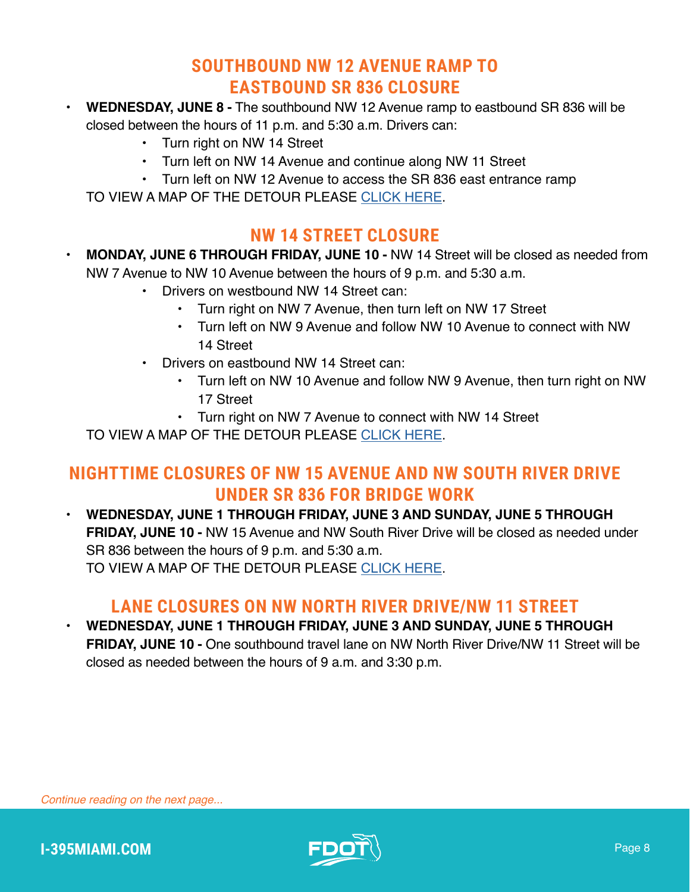## **SOUTHBOUND NW 12 AVENUE RAMP TO EASTBOUND SR 836 CLOSURE**

- **WEDNESDAY, JUNE 8 -** The southbound NW 12 Avenue ramp to eastbound SR 836 will be closed between the hours of 11 p.m. and 5:30 a.m. Drivers can:
	- Turn right on NW 14 Street
	- Turn left on NW 14 Avenue and continue along NW 11 Street
	- Turn left on NW 12 Avenue to access the SR 836 east entrance ramp

TO VIEW A MAP OF THE DETOUR PLEASE [CLICK HERE](https://www.i395-miami.com/alerts/details/Alert-395-SB12EB836-Map.pdf).

## **NW 14 STREET CLOSURE**

- **MONDAY, JUNE 6 THROUGH FRIDAY, JUNE 10 -** NW 14 Street will be closed as needed from NW 7 Avenue to NW 10 Avenue between the hours of 9 p.m. and 5:30 a.m.
	- Drivers on westbound NW 14 Street can:
		- Turn right on NW 7 Avenue, then turn left on NW 17 Street
		- Turn left on NW 9 Avenue and follow NW 10 Avenue to connect with NW 14 Street
	- Drivers on eastbound NW 14 Street can:
		- Turn left on NW 10 Avenue and follow NW 9 Avenue, then turn right on NW 17 Street
		- Turn right on NW 7 Avenue to connect with NW 14 Street

TO VIEW A MAP OF THE DETOUR PLEASE [CLICK HERE](https://i395-miami.com/alerts/details/Alert-395-NW14St-Detour-at-7ave-Map.pdf).

#### **NIGHTTIME CLOSURES OF NW 15 AVENUE AND NW SOUTH RIVER DRIVE UNDER SR 836 FOR BRIDGE WORK**

• **WEDNESDAY, JUNE 1 THROUGH FRIDAY, JUNE 3 AND SUNDAY, JUNE 5 THROUGH FRIDAY, JUNE 10 -** NW 15 Avenue and NW South River Drive will be closed as needed under SR 836 between the hours of 9 p.m. and 5:30 a.m. TO VIEW A MAP OF THE DETOUR PLEASE [CLICK HERE](https://i395-miami.com/alerts/details/Alert-395-15AVESRIVER-Map.pdf).

## **LANE CLOSURES ON NW NORTH RIVER DRIVE/NW 11 STREET**

• **WEDNESDAY, JUNE 1 THROUGH FRIDAY, JUNE 3 AND SUNDAY, JUNE 5 THROUGH FRIDAY, JUNE 10 -** One southbound travel lane on NW North River Drive/NW 11 Street will be closed as needed between the hours of 9 a.m. and 3:30 p.m.